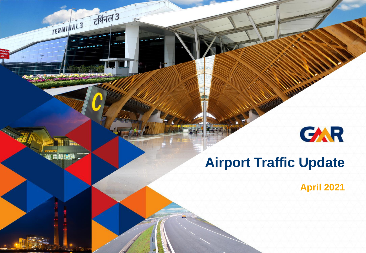# GAR

## **Airport Traffic Update**

निनत3

TERMI IAL3

 $\mathbf{r}$ 

**April 2021**